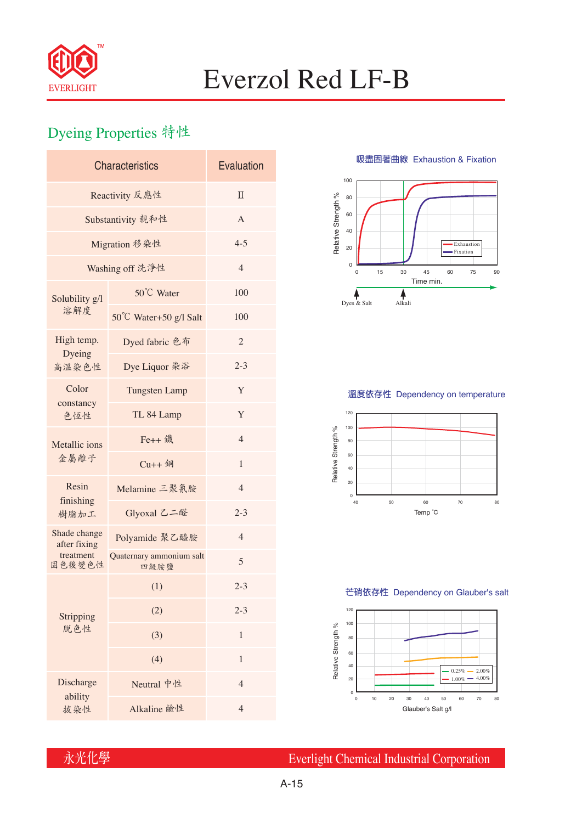

# Everzol Red LF-B

## Dyeing Properties 特性

| <b>Characteristics</b>       | Evaluation                       |                |  |  |  |
|------------------------------|----------------------------------|----------------|--|--|--|
| Reactivity 反應性               | $\Pi$                            |                |  |  |  |
| Substantivity 親和性            | A                                |                |  |  |  |
| Migration 移染性                | $4 - 5$                          |                |  |  |  |
| Washing off 洗淨性              | $\overline{4}$                   |                |  |  |  |
| Solubility g/l               | 50°C Water                       | 100            |  |  |  |
| 溶解度                          | 50°C Water+50 g/l Salt           | 100            |  |  |  |
| High temp.<br>Dyeing         | Dyed fabric 色布                   | $\overline{2}$ |  |  |  |
| 高溫染色性                        | Dye Liquor 染浴                    | $2 - 3$        |  |  |  |
| Color                        | <b>Tungsten Lamp</b>             | Y              |  |  |  |
| constancy<br>色恆性             | TL 84 Lamp                       | Y              |  |  |  |
| Metallic ions                | Fe++ 鐵                           | $\overline{4}$ |  |  |  |
| 金屬離子                         | $Cu++4$                          | 1              |  |  |  |
| Resin<br>finishing           | Melamine 三聚氰胺                    | $\overline{4}$ |  |  |  |
| 樹脂加工                         | Glyoxal 乙二醛                      | $2 - 3$        |  |  |  |
| Shade change<br>after fixing | Polyamide 聚乙醯胺                   | $\overline{4}$ |  |  |  |
| treatment<br>固色後變色性          | Quaternary ammonium salt<br>四級胺鹽 | 5              |  |  |  |
|                              | (1)                              | $2 - 3$        |  |  |  |
| Stripping                    | (2)                              | $2 - 3$        |  |  |  |
| 脱色性                          | (3)                              | 1              |  |  |  |
|                              | (4)                              | $\mathbf{1}$   |  |  |  |
| Discharge                    | Neutral 中性                       | $\overline{4}$ |  |  |  |
| ability<br>拔染性               | Alkaline 鹼性                      | $\overline{4}$ |  |  |  |

**吸盡固著曲線** Exhaustion & Fixation



### **溫度依存性** Dependency on temperature



#### **芒硝依存性** Dependency on Glauber's salt